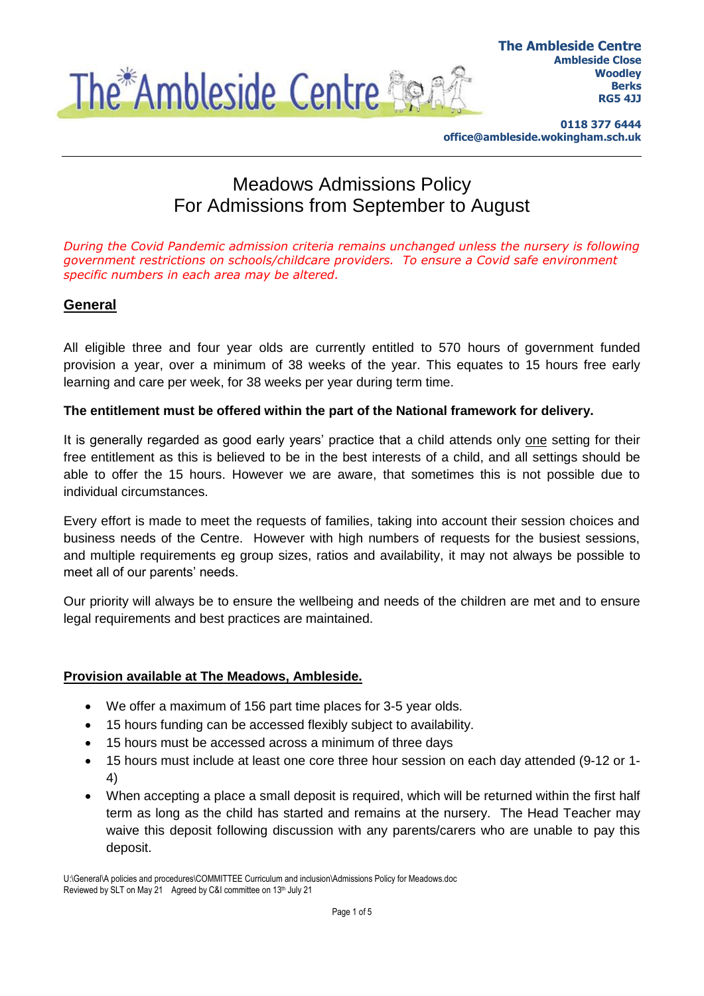

**0118 377 6444 office@ambleside.wokingham.sch.uk**

# Meadows Admissions Policy For Admissions from September to August

*During the Covid Pandemic admission criteria remains unchanged unless the nursery is following government restrictions on schools/childcare providers. To ensure a Covid safe environment specific numbers in each area may be altered.*

# **General**

All eligible three and four year olds are currently entitled to 570 hours of government funded provision a year, over a minimum of 38 weeks of the year. This equates to 15 hours free early learning and care per week, for 38 weeks per year during term time.

#### **The entitlement must be offered within the part of the National framework for delivery.**

It is generally regarded as good early years' practice that a child attends only one setting for their free entitlement as this is believed to be in the best interests of a child, and all settings should be able to offer the 15 hours. However we are aware, that sometimes this is not possible due to individual circumstances.

Every effort is made to meet the requests of families, taking into account their session choices and business needs of the Centre. However with high numbers of requests for the busiest sessions, and multiple requirements eg group sizes, ratios and availability, it may not always be possible to meet all of our parents' needs.

Our priority will always be to ensure the wellbeing and needs of the children are met and to ensure legal requirements and best practices are maintained.

#### **Provision available at The Meadows, Ambleside.**

- We offer a maximum of 156 part time places for 3-5 year olds.
- 15 hours funding can be accessed flexibly subject to availability.
- 15 hours must be accessed across a minimum of three days
- 15 hours must include at least one core three hour session on each day attended (9-12 or 1- 4)
- When accepting a place a small deposit is required, which will be returned within the first half term as long as the child has started and remains at the nursery. The Head Teacher may waive this deposit following discussion with any parents/carers who are unable to pay this deposit.

U:\General\A policies and procedures\COMMITTEE Curriculum and inclusion\Admissions Policy for Meadows.doc Reviewed by SLT on May 21 Agreed by C&I committee on 13th July 21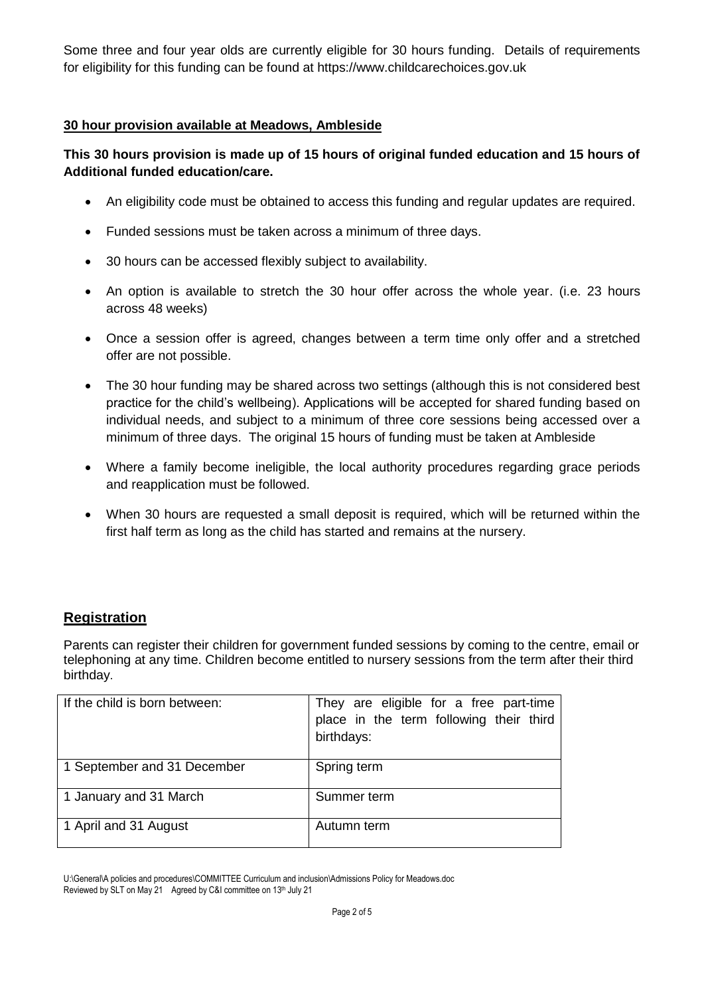Some three and four year olds are currently eligible for 30 hours funding. Details of requirements for eligibility for this funding can be found at https://www.childcarechoices.gov.uk

#### **30 hour provision available at Meadows, Ambleside**

## **This 30 hours provision is made up of 15 hours of original funded education and 15 hours of Additional funded education/care.**

- An eligibility code must be obtained to access this funding and regular updates are required.
- Funded sessions must be taken across a minimum of three days.
- 30 hours can be accessed flexibly subject to availability.
- An option is available to stretch the 30 hour offer across the whole year. (i.e. 23 hours across 48 weeks)
- Once a session offer is agreed, changes between a term time only offer and a stretched offer are not possible.
- The 30 hour funding may be shared across two settings (although this is not considered best practice for the child's wellbeing). Applications will be accepted for shared funding based on individual needs, and subject to a minimum of three core sessions being accessed over a minimum of three days. The original 15 hours of funding must be taken at Ambleside
- Where a family become ineligible, the local authority procedures regarding grace periods and reapplication must be followed.
- When 30 hours are requested a small deposit is required, which will be returned within the first half term as long as the child has started and remains at the nursery.

# **Registration**

Parents can register their children for government funded sessions by coming to the centre, email or telephoning at any time. Children become entitled to nursery sessions from the term after their third birthday.

| If the child is born between: | They are eligible for a free part-time<br>place in the term following their third<br>birthdays: |
|-------------------------------|-------------------------------------------------------------------------------------------------|
| 1 September and 31 December   | Spring term                                                                                     |
| 1 January and 31 March        | Summer term                                                                                     |
| 1 April and 31 August         | Autumn term                                                                                     |

U:\General\A policies and procedures\COMMITTEE Curriculum and inclusion\Admissions Policy for Meadows.doc Reviewed by SLT on May 21 Agreed by C&I committee on 13th July 21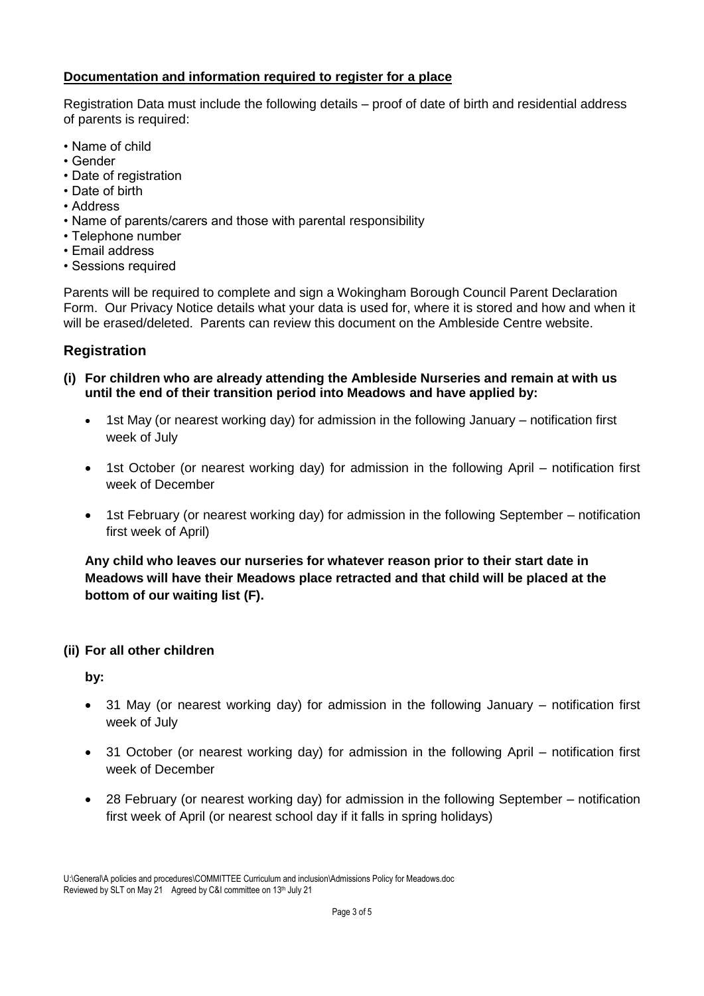# **Documentation and information required to register for a place**

Registration Data must include the following details – proof of date of birth and residential address of parents is required:

- Name of child
- Gender
- Date of registration
- Date of birth
- Address
- Name of parents/carers and those with parental responsibility
- Telephone number
- Email address
- Sessions required

Parents will be required to complete and sign a Wokingham Borough Council Parent Declaration Form. Our Privacy Notice details what your data is used for, where it is stored and how and when it will be erased/deleted. Parents can review this document on the Ambleside Centre website.

# **Registration**

- **(i) For children who are already attending the Ambleside Nurseries and remain at with us until the end of their transition period into Meadows and have applied by:**
	- 1st May (or nearest working day) for admission in the following January notification first week of July
	- 1st October (or nearest working day) for admission in the following April notification first week of December
	- 1st February (or nearest working day) for admission in the following September notification first week of April)

**Any child who leaves our nurseries for whatever reason prior to their start date in Meadows will have their Meadows place retracted and that child will be placed at the bottom of our waiting list (F).**

## **(ii) For all other children**

**by:**

- 31 May (or nearest working day) for admission in the following January notification first week of July
- 31 October (or nearest working day) for admission in the following April notification first week of December
- 28 February (or nearest working day) for admission in the following September notification first week of April (or nearest school day if it falls in spring holidays)

U:\General\A policies and procedures\COMMITTEE Curriculum and inclusion\Admissions Policy for Meadows.doc Reviewed by SLT on May 21 Agreed by C&I committee on 13th July 21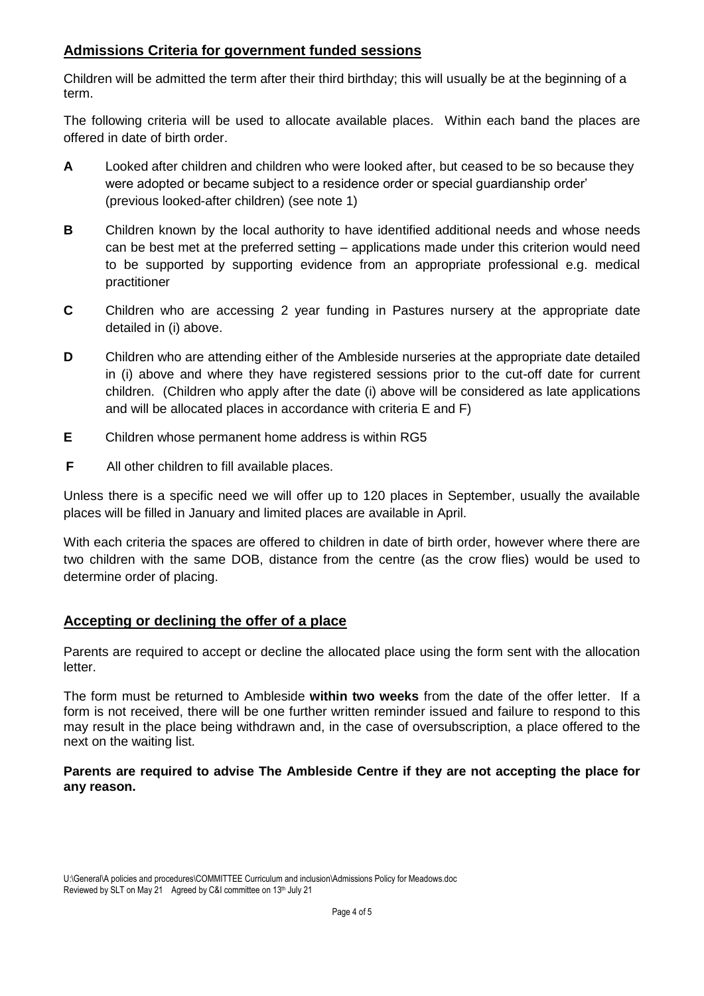# **Admissions Criteria for government funded sessions**

Children will be admitted the term after their third birthday; this will usually be at the beginning of a term.

The following criteria will be used to allocate available places. Within each band the places are offered in date of birth order.

- **A** Looked after children and children who were looked after, but ceased to be so because they were adopted or became subject to a residence order or special guardianship order' (previous looked-after children) (see note 1)
- **B** Children known by the local authority to have identified additional needs and whose needs can be best met at the preferred setting – applications made under this criterion would need to be supported by supporting evidence from an appropriate professional e.g. medical practitioner
- **C** Children who are accessing 2 year funding in Pastures nursery at the appropriate date detailed in (i) above.
- **D** Children who are attending either of the Ambleside nurseries at the appropriate date detailed in (i) above and where they have registered sessions prior to the cut-off date for current children. (Children who apply after the date (i) above will be considered as late applications and will be allocated places in accordance with criteria E and F)
- **E** Children whose permanent home address is within RG5
- **F** All other children to fill available places.

Unless there is a specific need we will offer up to 120 places in September, usually the available places will be filled in January and limited places are available in April.

With each criteria the spaces are offered to children in date of birth order, however where there are two children with the same DOB, distance from the centre (as the crow flies) would be used to determine order of placing.

## **Accepting or declining the offer of a place**

Parents are required to accept or decline the allocated place using the form sent with the allocation letter.

The form must be returned to Ambleside **within two weeks** from the date of the offer letter. If a form is not received, there will be one further written reminder issued and failure to respond to this may result in the place being withdrawn and, in the case of oversubscription, a place offered to the next on the waiting list.

**Parents are required to advise The Ambleside Centre if they are not accepting the place for any reason.**